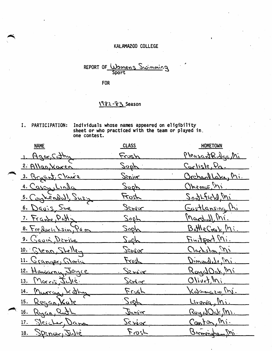## KALAMAZOO COLLEGE

 $REPORT$  OF Wamens Swimming

FOR

## \ '\? 1 -'¥ :> Season

I. PARTICIPATION: Individuals whose names appeared on eligibility sheet or who practiced with the team or played in. one contest.

| <b>NAME</b>               | <b>CLASS</b>  | HOMETOWN                |
|---------------------------|---------------|-------------------------|
| 1. Ager, Cithy            | <u>Frush</u>  | Pleasant Ridge, Mi      |
| 2. Allankaren             | <u>Soph</u>   | <u>Cactiste, Pa.</u>    |
| 3. Bryant, Claire         | <u>Seniur</u> | Orcharl Lake, Mi.       |
| <u>4. Cascy, Linda</u>    | Suph          | <u>Okemis</u> ini       |
| 5. Caykendal, Suzy        | <b>HEOST</b>  | Southfield, Mi          |
| <u>6. Davis, Sue</u>      | <u>Senar</u>  | <u> Gastlansing Ini</u> |
| 7. Franke, Patty          | Soch          | Martal Mi.              |
| 8. Frederickson, Pam      | <u>Soph</u>   | BotheCreek, Mi.         |
| 9. Gauin Derise           | Zoch          | Finitport Mi.           |
| <u>10. Glenn, Stelley</u> | <u>Schior</u> | Clarkston, M1           |
| 11. Granger, Gloria       | Frost         | Dinandele, ni.          |
| 12. Hawarny, Joyce        | $\frac{1}{2}$ | RoydOak, Mi             |
| 13. Maris, Julie          | <u> Senar</u> | Olivet, Mi              |
| 14. Murray Kathy          | <u>Frush</u>  | <u>Kadamazo M.</u>      |
| 15. Regan Kate            | $S$ orgh      | Livania, Mi.            |
| 16. Ryan, Ruth            | Junior        | <u>RoyalOaksM.</u>      |
| 17. Sleicher, Dance       | <u>Senior</u> | <u>Canton, Mi.</u>      |
| 18. Spiner, Julie         | LrozT         | Brownsham, M.           |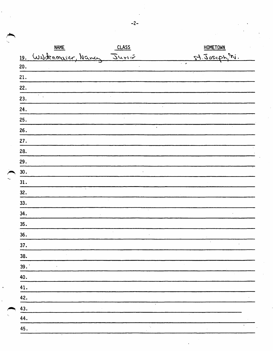|                    | <b>NAME</b>        | <u>CLASS</u> |                 | <b>HOMETOWN</b>       |  |
|--------------------|--------------------|--------------|-----------------|-----------------------|--|
| $\underline{19}$ . | Wadenmarier, Nance | Juria        |                 | $54.5$ oseph, $5/1$ . |  |
| 20.                |                    |              | $\sim$ 10 $\mu$ |                       |  |
| 21.                |                    |              |                 |                       |  |
| 22.                |                    |              |                 |                       |  |
| 23.                |                    |              |                 |                       |  |
| 24.                |                    |              |                 |                       |  |
| 25.                |                    |              |                 |                       |  |
| 26.                |                    |              | $\bullet$       |                       |  |
| 27.                |                    |              |                 |                       |  |
| 28.                |                    |              |                 |                       |  |
| 29.                |                    |              |                 |                       |  |
| 30.                |                    |              |                 |                       |  |
| 31.                |                    |              |                 |                       |  |
| 32.                |                    |              |                 |                       |  |
| 33.                |                    |              |                 |                       |  |
| 34.                |                    |              | $\bar{\nu}$ .   |                       |  |
| 35.                |                    |              |                 |                       |  |
| 36.                |                    |              |                 |                       |  |
| 37.                |                    |              |                 |                       |  |
| 38.                |                    |              |                 |                       |  |
| 39.                |                    |              |                 |                       |  |
| 40.                |                    |              |                 |                       |  |
| 41.                |                    |              |                 |                       |  |
| 42.                |                    |              |                 |                       |  |
| 43.                |                    |              | $\bullet$       |                       |  |
| 44.                |                    |              |                 |                       |  |
| 45.                |                    |              |                 |                       |  |

 $-2-$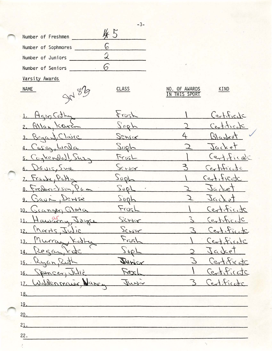| Number of Freshmen  |  |
|---------------------|--|
| Number of Sophmores |  |
| Number of Juniors   |  |
| Number of Seniors   |  |
| Varsity Awards      |  |

š

-3-

## NO. OF AWARDS IN THIS SPORT

KIND

NAME SN 83  $k_{\text{rosh}}$ AgenCit  $\overline{\phantom{0}}$  $C$ ertific $dc$  $1.$  $S$  of  $C$ er  $+$ .  $+$   $C$  $\bigcap$  $A$ lan  $\overline{2}$ . Keur I  $Black$ 4 3. Banan) Claire Sensox  $4. Cuse, Lnila$  .  $See$ ገ  $Jacke$  $\perp$  $($ ent $,f$ ical $C$  $FrosL$ Contendall, Suz.  $5 -$ <sup>~</sup>*Y---J r:<*  ~  $C$ ertific $\det$  $6.$  $Dayis.$ Sue  $Sop$  $C_{ext}$ , ficate  $\overline{L}$  $bra$ \  $Soo'$ Jacket  $\overline{8}$  $96n$  $2$  $s_{m}$ Jacket Dense  $2002$  $-200C$  $\supset$ 9.  $F\omega_1$  $\overline{\mathcal{K}}$  $C$ *e*  $ct$ ,  $tc$ ,  $tc$  $10.$ icanger 1ort c Scrior Hawatry  $($ ertificat Joyce  $\mathcal{F}$  $11.$  $\overline{1}$ c  $S_{\text{CHW}}$ Thans,  $C$ ent $, f$ icut 12.  $3-$ Murray  $\mathcal{F}_{\text{cyl}}$ C w-\ '.\-~ <sup>&</sup>lt;"\c..  $\overline{\phantom{a}}$  $13.$ Karl  $\sqrt{20}$  $14.$ **Legan**  $J$  $a$  $k+1$ :? Certificate *Surjex*  $\mathcal{L}$  $15.$ ~  $\sqrt{a^2}$  $\overline{\phantom{0}}$ mL> Centificate 16.  $C_{\mathcal{R}}$  $C_{ext}$ : fice Wilderman 3  $17.$  $uv$ are 18. l~---------------------------------------- 20 . 21. 22.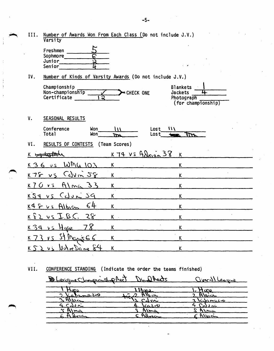| III.           | Varsity                                                 | Number of Awards Won From Each Class (Do not include J.V.) |                                                                      |  |  |
|----------------|---------------------------------------------------------|------------------------------------------------------------|----------------------------------------------------------------------|--|--|
|                | Freshmen<br>Sophmore<br>Junior<br>2<br>Senior           |                                                            |                                                                      |  |  |
| IV.            | Number of Kinds of Varsity Awards (Do not include J.V.) |                                                            |                                                                      |  |  |
|                | Championship<br>Non-championship<br>Certificate<br>ৱ    | CHECK ONE                                                  | <b>Blankets</b><br>Jackets<br>4.<br>Photograph<br>(for championship) |  |  |
| ٧.             | SEASONAL RESULTS                                        |                                                            |                                                                      |  |  |
|                | Conference<br>Won<br><b>Total</b><br>Won <sup>-</sup>   | $\mathbf{u}$<br>Lost<br>$\textsf{lost}$<br>ym.             | $\mathbf{u}$<br>ירד                                                  |  |  |
| VI.            | RESULTS OF CONTESTS                                     | (Team Scores)                                              |                                                                      |  |  |
| K              |                                                         | <u> K 74 VS Adrian 38</u>                                  | $\pmb{\mathsf{K}}$                                                   |  |  |
| K 36           | WM4 103<br>$\nu$ s                                      | K                                                          | $\boldsymbol{K}$                                                     |  |  |
|                | $C_4$ Vm $58$<br>$K78$ $V5$                             | K                                                          | K                                                                    |  |  |
| K <sub>1</sub> | Mmc<br>33<br>$\overline{U}$<br>$V$ $S$                  | K                                                          | K.                                                                   |  |  |
| $K$ $S$ $9$    | $\mathcal{S}$<br>$\sim$ 6.1<br>$V\bar{S}$               | K                                                          | K                                                                    |  |  |
|                | 64<br>$K4$ $S$ $v s$ Albian                             | K                                                          | $\mathsf K$                                                          |  |  |
|                | $K\$ $2$ vs $I$ $B$ $C$ . $28$                          | $K -$                                                      | K                                                                    |  |  |
| <u>K34</u>     | $H_{G22}$<br>v <sub>S</sub>                             | K                                                          | K                                                                    |  |  |
| K              | 566                                                     | K                                                          | K                                                                    |  |  |
|                | Untre Dane 8<br>いく                                      | K                                                          | $\mathsf K$                                                          |  |  |
|                |                                                         |                                                            |                                                                      |  |  |

VII. CONFERENCE STANDING (Indicate the order the teams finished)

| D League Change Conflue | freets  | Giralleage      |
|-------------------------|---------|-----------------|
| $H_{AC2}$               | Ame     | <u>. Hæ</u>     |
| Kalamerio               | $-7770$ | Algici          |
|                         | 2 Cavi  | <u>Kasamuzo</u> |
| $-262$                  | べいしつ    | $\omega$ in     |
| Almir                   | Alma    | Alma            |
| べいへ                     | Adres   | Albicio         |

 $\ddot{\phantom{a}}$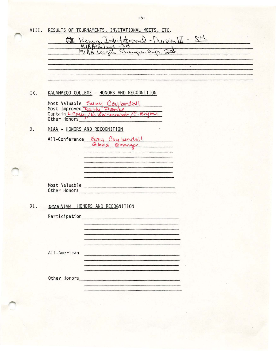|     | VIII. RESULTS OF TOURNAMENTS, INVITATIONAL MEETS, ETC.                                                                                                                                                                         |
|-----|--------------------------------------------------------------------------------------------------------------------------------------------------------------------------------------------------------------------------------|
|     | Kenyon Invitational-Duisin II - St<br>住                                                                                                                                                                                        |
|     | MIAA Legger Changion Stype 2nd                                                                                                                                                                                                 |
|     | $\rightarrow$                                                                                                                                                                                                                  |
|     |                                                                                                                                                                                                                                |
|     |                                                                                                                                                                                                                                |
| IX. | KALAMAZOO COLLEGE - HONORS AND RECOGNITION                                                                                                                                                                                     |
|     | Most Valuable Suzy Coykendall                                                                                                                                                                                                  |
|     | Most Improved Patty Franke<br>Captain L. Consul / N. Waldenmaier / C. Bryant<br>Other Honors                                                                                                                                   |
| Χ.  | MIAA - HONORS AND RECOGNITION                                                                                                                                                                                                  |
|     | All-Conference Suzy Coylendall                                                                                                                                                                                                 |
|     | Gloria Granger                                                                                                                                                                                                                 |
|     |                                                                                                                                                                                                                                |
|     |                                                                                                                                                                                                                                |
|     | Most Valuable and Contract Contract of the Contract of the Contract of the Contract of the Contract of the Contract of the Contract of the Contract of the Contract of the Contract of the Contract of the Contract of the Con |
|     | Other Honors                                                                                                                                                                                                                   |
| XI. | NCAA-AIAW HONORS AND RECOGNITION                                                                                                                                                                                               |
|     | Participation                                                                                                                                                                                                                  |
|     |                                                                                                                                                                                                                                |
|     |                                                                                                                                                                                                                                |
|     |                                                                                                                                                                                                                                |
|     | All-American                                                                                                                                                                                                                   |
|     |                                                                                                                                                                                                                                |
|     | Other Honors                                                                                                                                                                                                                   |
|     |                                                                                                                                                                                                                                |
|     |                                                                                                                                                                                                                                |